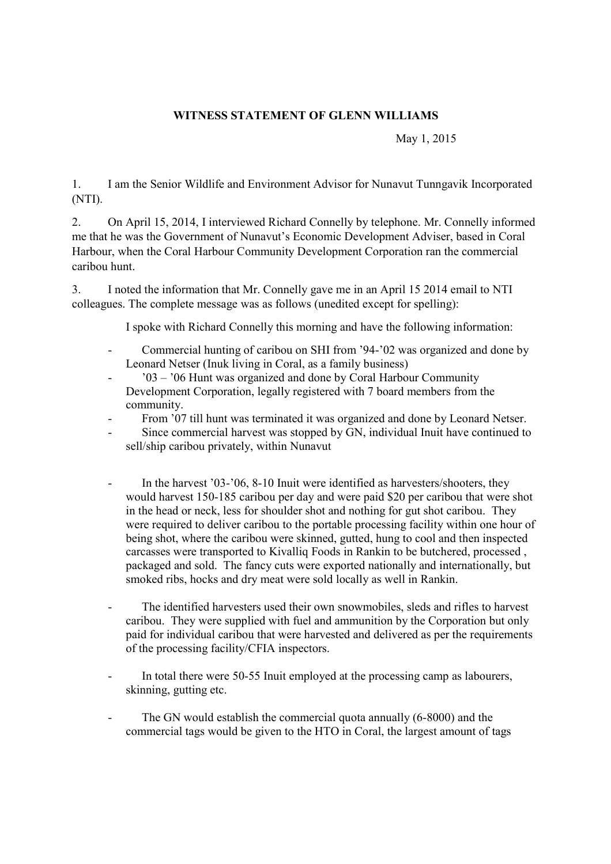## **WITNESS STATEMENT OF GLENN WILLIAMS**

May 1, 2015

1. I am the Senior Wildlife and Environment Advisor for Nunavut Tunngavik Incorporated (NTI).

2. On April 15, 2014, I interviewed Richard Connelly by telephone. Mr. Connelly informed me that he was the Government of Nunavut's Economic Development Adviser, based in Coral Harbour, when the Coral Harbour Community Development Corporation ran the commercial caribou hunt.

3. I noted the information that Mr. Connelly gave me in an April 15 2014 email to NTI colleagues. The complete message was as follows (unedited except for spelling):

I spoke with Richard Connelly this morning and have the following information:

- Commercial hunting of caribou on SHI from '94-'02 was organized and done by Leonard Netser (Inuk living in Coral, as a family business)
- '03 '06 Hunt was organized and done by Coral Harbour Community Development Corporation, legally registered with 7 board members from the community.
- From '07 till hunt was terminated it was organized and done by Leonard Netser.
- Since commercial harvest was stopped by GN, individual Inuit have continued to sell/ship caribou privately, within Nunavut
- In the harvest  $'03-'06$ , 8-10 Inuit were identified as harvesters/shooters, they would harvest 150-185 caribou per day and were paid \$20 per caribou that were shot in the head or neck, less for shoulder shot and nothing for gut shot caribou. They were required to deliver caribou to the portable processing facility within one hour of being shot, where the caribou were skinned, gutted, hung to cool and then inspected carcasses were transported to Kivalliq Foods in Rankin to be butchered, processed , packaged and sold. The fancy cuts were exported nationally and internationally, but smoked ribs, hocks and dry meat were sold locally as well in Rankin.
- The identified harvesters used their own snowmobiles, sleds and rifles to harvest caribou. They were supplied with fuel and ammunition by the Corporation but only paid for individual caribou that were harvested and delivered as per the requirements of the processing facility/CFIA inspectors.
- In total there were 50-55 Inuit employed at the processing camp as labourers, skinning, gutting etc.
- The GN would establish the commercial quota annually (6-8000) and the commercial tags would be given to the HTO in Coral, the largest amount of tags